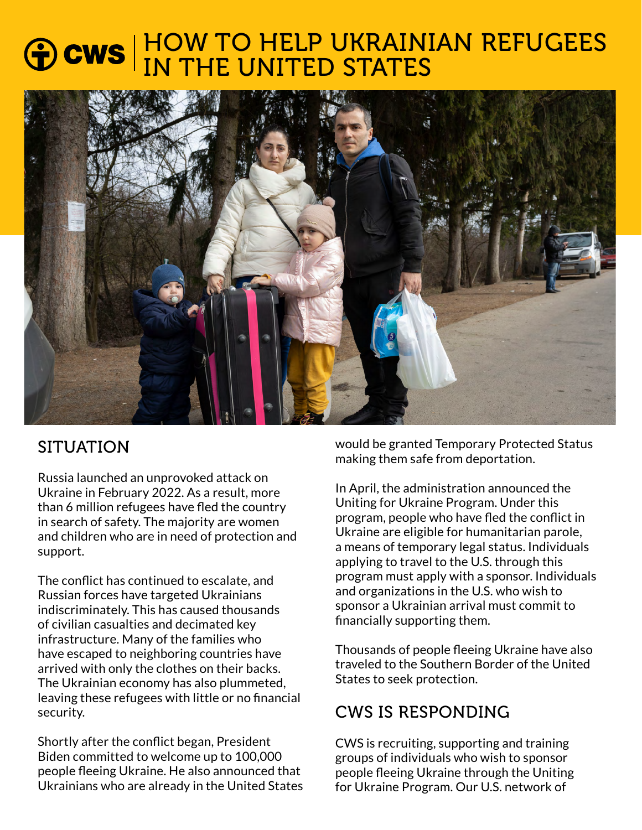# HOW TO HELP UKRAINIAN REFUGEES IN THE UNITED STATES



# SITUATION

Russia launched an unprovoked attack on Ukraine in February 2022. As a result, more than 6 million refugees have fled the country in search of safety. The majority are women and children who are in need of protection and support.

The conflict has continued to escalate, and Russian forces have targeted Ukrainians indiscriminately. This has caused thousands of civilian casualties and decimated key infrastructure. Many of the families who have escaped to neighboring countries have arrived with only the clothes on their backs. The Ukrainian economy has also plummeted, leaving these refugees with little or no financial security.

Shortly after the conflict began, President Biden committed to welcome up to 100,000 people fleeing Ukraine. He also announced that Ukrainians who are already in the United States would be granted Temporary Protected Status making them safe from deportation.

In April, the administration announced the Uniting for Ukraine Program. Under this program, people who have fled the conflict in Ukraine are eligible for humanitarian parole, a means of temporary legal status. Individuals applying to travel to the U.S. through this program must apply with a sponsor. Individuals and organizations in the U.S. who wish to sponsor a Ukrainian arrival must commit to financially supporting them.

Thousands of people fleeing Ukraine have also traveled to the Southern Border of the United States to seek protection.

# CWS IS RESPONDING

CWS is recruiting, supporting and training groups of individuals who wish to sponsor people fleeing Ukraine through the Uniting for Ukraine Program. Our U.S. network of